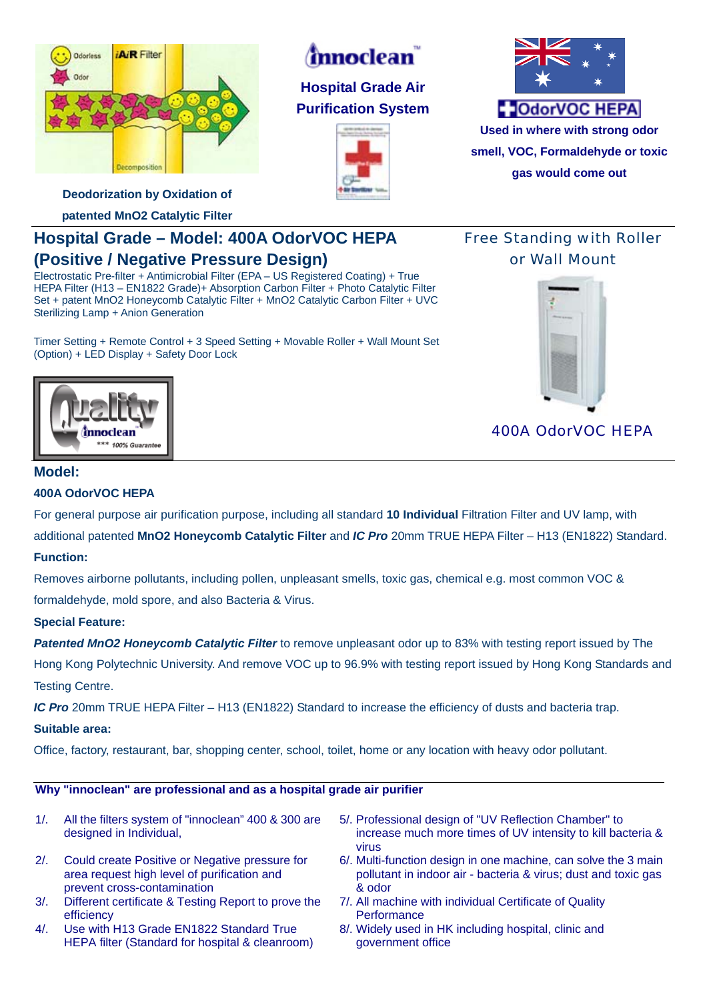

# *innoclean*

**Hospital Grade Air Purification System** 





**Used in where with strong odor smell, VOC, Formaldehyde or toxic gas would come out**

**Deodorization by Oxidation of** 

**patented MnO2 Catalytic Filter** 

# **Hospital Grade – Model: 400A OdorVOC HEPA (Positive / Negative Pressure Design)**

Electrostatic Pre-filter + Antimicrobial Filter (EPA – US Registered Coating) + True HEPA Filter (H13 – EN1822 Grade)+ Absorption Carbon Filter + Photo Catalytic Filter Set + patent MnO2 Honeycomb Catalytic Filter + MnO2 Catalytic Carbon Filter + UVC Sterilizing Lamp + Anion Generation

Timer Setting + Remote Control + 3 Speed Setting + Movable Roller + Wall Mount Set (Option) + LED Display + Safety Door Lock

### Free Standing with Roller or Wall Mount



400A OdorVOC HEPA



### **400A OdorVOC HEPA**

For general purpose air purification purpose, including all standard **10 Individual** Filtration Filter and UV lamp, with additional patented **MnO2 Honeycomb Catalytic Filter** and *IC Pro* 20mm TRUE HEPA Filter – H13 (EN1822) Standard.

### **Function:**

Removes airborne pollutants, including pollen, unpleasant smells, toxic gas, chemical e.g. most common VOC & formaldehyde, mold spore, and also Bacteria & Virus.

### **Special Feature:**

*Patented MnO2 Honeycomb Catalytic Filter* to remove unpleasant odor up to 83% with testing report issued by The Hong Kong Polytechnic University. And remove VOC up to 96.9% with testing report issued by Hong Kong Standards and Testing Centre.

*IC Pro* 20mm TRUE HEPA Filter – H13 (EN1822) Standard to increase the efficiency of dusts and bacteria trap.

#### **Suitable area:**

Office, factory, restaurant, bar, shopping center, school, toilet, home or any location with heavy odor pollutant.

#### **Why "innoclean" are professional and as a hospital grade air purifier**

- 1/. All the filters system of "innoclean" 400 & 300 are designed in Individual, 5/. Professional design of "UV Reflection Chamber" to increase much more times of UV intensity to kill bacteria & virus 2/. Could create Positive or Negative pressure for area request high level of purification and prevent cross-contamination 6/. Multi-function design in one machine, can solve the 3 main pollutant in indoor air - bacteria & virus; dust and toxic gas & odor
- 3/. Different certificate & Testing Report to prove the efficiency
- 4/. Use with H13 Grade EN1822 Standard True HEPA filter (Standard for hospital & cleanroom)
- 7/. All machine with individual Certificate of Quality **Performance**
- 8/. Widely used in HK including hospital, clinic and government office